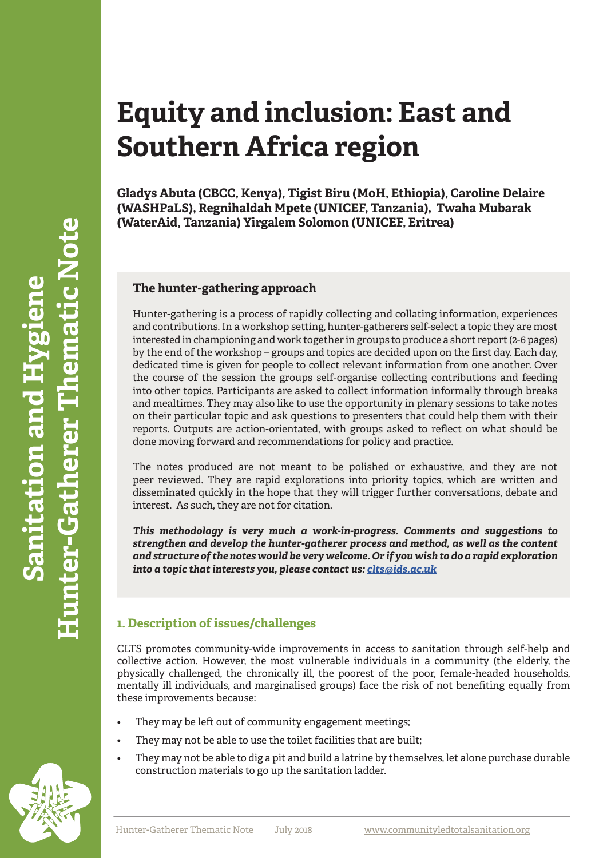# **Equity and inclusion: East and Southern Africa region**

**Gladys Abuta (CBCC, Kenya), Tigist Biru (MoH, Ethiopia), Caroline Delaire (WASHPaLS), Regnihaldah Mpete (UNICEF, Tanzania), Twaha Mubarak (WaterAid, Tanzania) Yirgalem Solomon (UNICEF, Eritrea)**

## **The hunter-gathering approach**

Hunter-gathering is a process of rapidly collecting and collating information, experiences and contributions. In a workshop setting, hunter-gatherers self-select a topic they are most interested in championing and work together in groups to produce a short report (2-6 pages) by the end of the workshop – groups and topics are decided upon on the first day. Each day, dedicated time is given for people to collect relevant information from one another. Over the course of the session the groups self-organise collecting contributions and feeding into other topics. Participants are asked to collect information informally through breaks and mealtimes. They may also like to use the opportunity in plenary sessions to take notes on their particular topic and ask questions to presenters that could help them with their reports. Outputs are action-orientated, with groups asked to reflect on what should be done moving forward and recommendations for policy and practice.

The notes produced are not meant to be polished or exhaustive, and they are not peer reviewed. They are rapid explorations into priority topics, which are written and disseminated quickly in the hope that they will trigger further conversations, debate and interest. <u>As such, they are not for citation</u>.

*This methodology is very much a work-in-progress. Comments and suggestions to strengthen and develop the hunter-gatherer process and method, as well as the content and structure of the notes would be very welcome. Or if you wish to do a rapid exploration into a topic that interests you, please contact us: [clts@ids.ac.uk](mailto:clts@ids.ac.uk )*

# **1. Description of issues/challenges**

CLTS promotes community-wide improvements in access to sanitation through self-help and collective action. However, the most vulnerable individuals in a community (the elderly, the physically challenged, the chronically ill, the poorest of the poor, female-headed households, mentally ill individuals, and marginalised groups) face the risk of not benefiting equally from these improvements because:

- They may be left out of community engagement meetings;
- They may not be able to use the toilet facilities that are built;
- They may not be able to dig a pit and build a latrine by themselves, let alone purchase durable construction materials to go up the sanitation ladder.

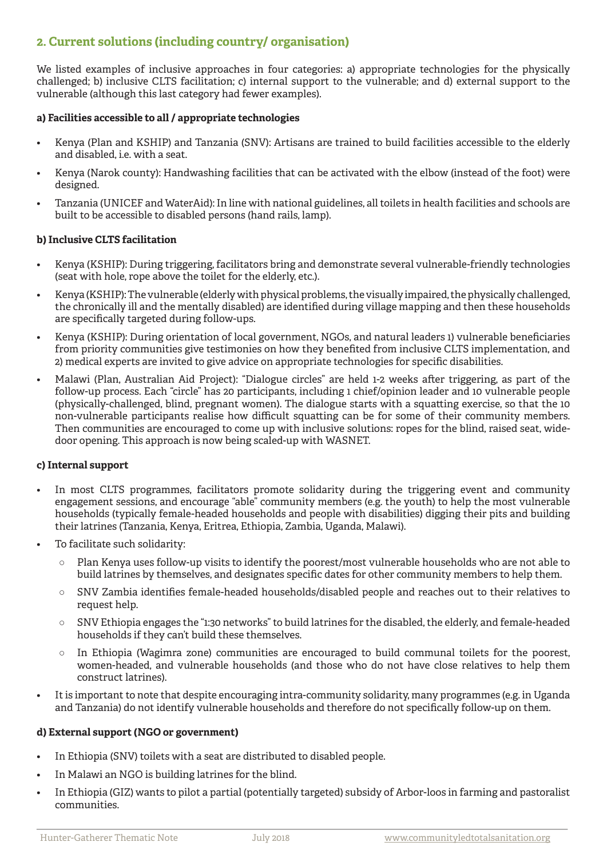# **2. Current solutions (including country/ organisation)**

We listed examples of inclusive approaches in four categories: a) appropriate technologies for the physically challenged; b) inclusive CLTS facilitation; c) internal support to the vulnerable; and d) external support to the vulnerable (although this last category had fewer examples).

#### **a) Facilities accessible to all / appropriate technologies**

- Kenya (Plan and KSHIP) and Tanzania (SNV): Artisans are trained to build facilities accessible to the elderly and disabled, i.e. with a seat.
- Kenya (Narok county): Handwashing facilities that can be activated with the elbow (instead of the foot) were designed.
- Tanzania (UNICEF and WaterAid): In line with national guidelines, all toilets in health facilities and schools are built to be accessible to disabled persons (hand rails, lamp).

#### **b) Inclusive CLTS facilitation**

- Kenya (KSHIP): During triggering, facilitators bring and demonstrate several vulnerable-friendly technologies (seat with hole, rope above the toilet for the elderly, etc.).
- Kenya (KSHIP): The vulnerable (elderly with physical problems, the visually impaired, the physically challenged, the chronically ill and the mentally disabled) are identified during village mapping and then these households are specifically targeted during follow-ups.
- Kenya (KSHIP): During orientation of local government, NGOs, and natural leaders 1) vulnerable beneficiaries from priority communities give testimonies on how they benefited from inclusive CLTS implementation, and 2) medical experts are invited to give advice on appropriate technologies for specific disabilities.
- Malawi (Plan, Australian Aid Project): "Dialogue circles" are held 1-2 weeks after triggering, as part of the follow-up process. Each "circle" has 20 participants, including 1 chief/opinion leader and 10 vulnerable people (physically-challenged, blind, pregnant women). The dialogue starts with a squatting exercise, so that the 10 non-vulnerable participants realise how difficult squatting can be for some of their community members. Then communities are encouraged to come up with inclusive solutions: ropes for the blind, raised seat, widedoor opening. This approach is now being scaled-up with WASNET.

## **c) Internal support**

- In most CLTS programmes, facilitators promote solidarity during the triggering event and community engagement sessions, and encourage "able" community members (e.g. the youth) to help the most vulnerable households (typically female-headed households and people with disabilities) digging their pits and building their latrines (Tanzania, Kenya, Eritrea, Ethiopia, Zambia, Uganda, Malawi).
- To facilitate such solidarity:
	- Plan Kenya uses follow-up visits to identify the poorest/most vulnerable households who are not able to build latrines by themselves, and designates specific dates for other community members to help them.
	- SNV Zambia identifies female-headed households/disabled people and reaches out to their relatives to request help.
	- SNV Ethiopia engages the "1:30 networks" to build latrines for the disabled, the elderly, and female-headed households if they can't build these themselves.
	- $\circ$  In Ethiopia (Wagimra zone) communities are encouraged to build communal toilets for the poorest, women-headed, and vulnerable households (and those who do not have close relatives to help them construct latrines).
- It is important to note that despite encouraging intra-community solidarity, many programmes (e.g. in Uganda and Tanzania) do not identify vulnerable households and therefore do not specifically follow-up on them.

#### **d) External support (NGO or government)**

- In Ethiopia (SNV) toilets with a seat are distributed to disabled people.
- In Malawi an NGO is building latrines for the blind.
- In Ethiopia (GIZ) wants to pilot a partial (potentially targeted) subsidy of Arbor-loos in farming and pastoralist communities.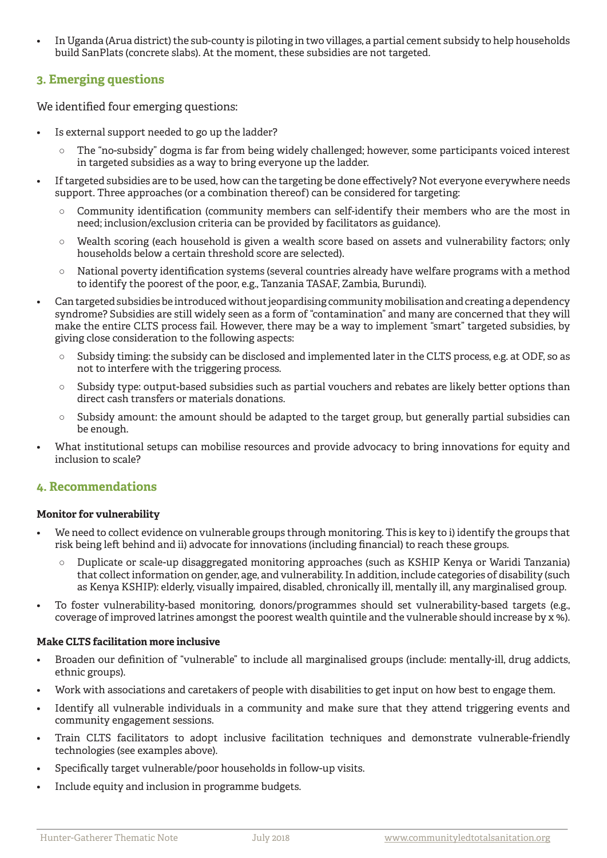• In Uganda (Arua district) the sub-county is piloting in two villages, a partial cement subsidy to help households build SanPlats (concrete slabs). At the moment, these subsidies are not targeted.

# **3. Emerging questions**

We identified four emerging questions:

- Is external support needed to go up the ladder?
	- The "no-subsidy" dogma is far from being widely challenged; however, some participants voiced interest in targeted subsidies as a way to bring everyone up the ladder.
- If targeted subsidies are to be used, how can the targeting be done effectively? Not everyone everywhere needs support. Three approaches (or a combination thereof) can be considered for targeting:
	- Community identification (community members can self-identify their members who are the most in need; inclusion/exclusion criteria can be provided by facilitators as guidance).
	- $\circ$  Wealth scoring (each household is given a wealth score based on assets and vulnerability factors; only households below a certain threshold score are selected).
	- National poverty identification systems (several countries already have welfare programs with a method to identify the poorest of the poor, e.g., Tanzania TASAF, Zambia, Burundi).
- Can targeted subsidies be introduced without jeopardising community mobilisation and creating a dependency syndrome? Subsidies are still widely seen as a form of "contamination" and many are concerned that they will make the entire CLTS process fail. However, there may be a way to implement "smart" targeted subsidies, by giving close consideration to the following aspects:
	- Subsidy timing: the subsidy can be disclosed and implemented later in the CLTS process, e.g. at ODF, so as not to interfere with the triggering process.
	- Subsidy type: output-based subsidies such as partial vouchers and rebates are likely better options than direct cash transfers or materials donations.
	- Subsidy amount: the amount should be adapted to the target group, but generally partial subsidies can be enough.
- What institutional setups can mobilise resources and provide advocacy to bring innovations for equity and inclusion to scale?

# **4. Recommendations**

## **Monitor for vulnerability**

- We need to collect evidence on vulnerable groups through monitoring. This is key to i) identify the groups that risk being left behind and ii) advocate for innovations (including financial) to reach these groups.
	- Duplicate or scale-up disaggregated monitoring approaches (such as KSHIP Kenya or Waridi Tanzania) that collect information on gender, age, and vulnerability. In addition, include categories of disability (such as Kenya KSHIP): elderly, visually impaired, disabled, chronically ill, mentally ill, any marginalised group.
- To foster vulnerability-based monitoring, donors/programmes should set vulnerability-based targets (e.g., coverage of improved latrines amongst the poorest wealth quintile and the vulnerable should increase by x %).

## **Make CLTS facilitation more inclusive**

- Broaden our definition of "vulnerable" to include all marginalised groups (include: mentally-ill, drug addicts, ethnic groups).
- Work with associations and caretakers of people with disabilities to get input on how best to engage them.
- Identify all vulnerable individuals in a community and make sure that they attend triggering events and community engagement sessions.
- Train CLTS facilitators to adopt inclusive facilitation techniques and demonstrate vulnerable-friendly technologies (see examples above).
- Specifically target vulnerable/poor households in follow-up visits.
- Include equity and inclusion in programme budgets.